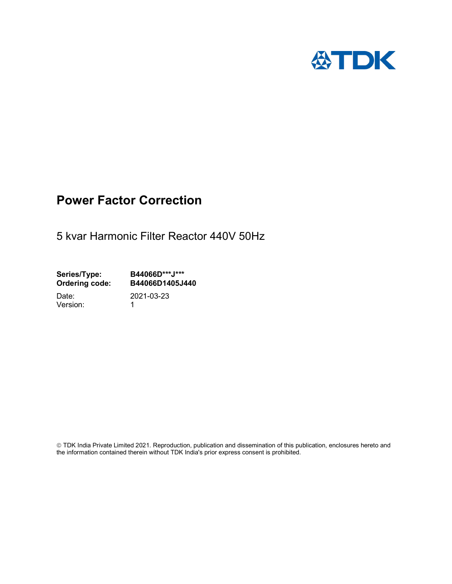

## Power Factor Correction

5 kvar Harmonic Filter Reactor 440V 50Hz

Series/Type: B44066D\*\*\*J\*\*\*<br>Ordering code: B44066D1405J4 B44066D1405J440

Version: 1

Date: 2021-03-23

 TDK India Private Limited 2021. Reproduction, publication and dissemination of this publication, enclosures hereto and the information contained therein without TDK India's prior express consent is prohibited.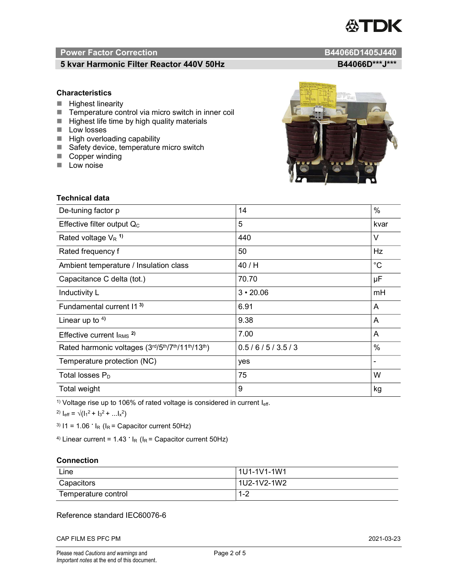# TDK

### Power Factor Correction and Content of Content of Content of Content of Content of Content of Content of Content of Content of Content of Content of Content of Content of Content of Content of Content of Content of Content

#### 5 kvar Harmonic Filter Reactor 440V 50Hz B44066D\*\*\*J\*\*\*

#### **Characteristics**

- $\blacksquare$  Highest linearity
- Temperature control via micro switch in inner coil
- $\blacksquare$  Highest life time by high quality materials
- **Low losses**
- $\blacksquare$  High overloading capability
- Safety device, temperature micro switch
- Copper winding
- **Low noise**

| Technical data                                  |                 |             |  |
|-------------------------------------------------|-----------------|-------------|--|
| De-tuning factor p                              | 14              | $\%$        |  |
| Effective filter output $Q_C$                   | 5               | kvar        |  |
| Rated voltage $V_R$ <sup>1)</sup>               | 440             | V           |  |
| Rated frequency f                               | 50              | Hz          |  |
| Ambient temperature / Insulation class          | 40 / H          | $^{\circ}C$ |  |
| Capacitance C delta (tot.)                      | 70.70           | μF          |  |
| Inductivity L                                   | $3 \cdot 20.06$ | mH          |  |
| Fundamental current 11 <sup>3)</sup>            | 6.91            | A           |  |
| Linear up to $4$ )                              | 9.38            | A           |  |
| Effective current $IRMS$ <sup>2)</sup>          | 7.00            | A           |  |
| Rated harmonic voltages (3rd/5th/7th/11th/13th) | 0.5/6/5/3.5/3   | $\%$        |  |
| Temperature protection (NC)                     | yes             |             |  |
| Total losses $P_D$                              | 75              | W           |  |
| Total weight                                    | 9               | kg          |  |

<sup>1)</sup> Voltage rise up to 106% of rated voltage is considered in current  $I_{\text{eff}}$ .

<sup>2)</sup>  $I_{eff} = \sqrt{(I_1^2 + I_3^2 + ... I_x^2)}$ 

<sup>3)</sup>  $11 = 1.06$   $\cdot$   $I_R$  ( $I_R$  = Capacitor current 50Hz)

<sup>4)</sup> Linear current =  $1.43$   $\cdot$  I<sub>R</sub> (I<sub>R</sub> = Capacitor current 50Hz)

#### **Connection**

| Line                | l 1U1-1V1-1W1 |
|---------------------|---------------|
| Capacitors          | l 1U2-1V2-1W2 |
| Temperature control | 1 O<br>ے- ا   |

#### Reference standard IEC60076-6

CAP FILM ES PFC PM 2021-03-23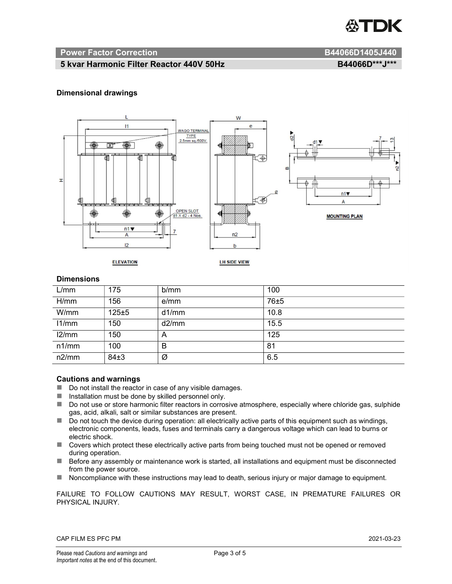

#### Power Factor Correction and B44066D1405J440

#### 5 kvar Harmonic Filter Reactor 440V 50Hz BA4066D\*\*\*J\*\*\* B44066D\*\*\*J\*\*\*

#### Dimensional drawings



#### **Dimensions**

| L/mm  | 175      | b/mm  | 100  |
|-------|----------|-------|------|
| H/mm  | 156      | e/mm  | 76±5 |
| W/mm  | 125±5    | d1/mm | 10.8 |
| 11/mm | 150      | d2/mm | 15.5 |
| 12/mm | 150      | A     | 125  |
| n1/mm | 100      | B     | 81   |
| n2/mm | $84\pm3$ | Ø     | 6.5  |

#### Cautions and warnings

- Do not install the reactor in case of any visible damages.
- $\blacksquare$  Installation must be done by skilled personnel only.
- Do not use or store harmonic filter reactors in corrosive atmosphere, especially where chloride gas, sulphide gas, acid, alkali, salt or similar substances are present.
- $\Box$  Do not touch the device during operation: all electrically active parts of this equipment such as windings, electronic components, leads, fuses and terminals carry a dangerous voltage which can lead to burns or electric shock.
- Covers which protect these electrically active parts from being touched must not be opened or removed during operation.
- Before any assembly or maintenance work is started, all installations and equipment must be disconnected from the power source.
- Noncompliance with these instructions may lead to death, serious injury or major damage to equipment.

FAILURE TO FOLLOW CAUTIONS MAY RESULT, WORST CASE, IN PREMATURE FAILURES OR PHYSICAL INJURY.

#### CAP FILM ES PFC PM 2021-03-23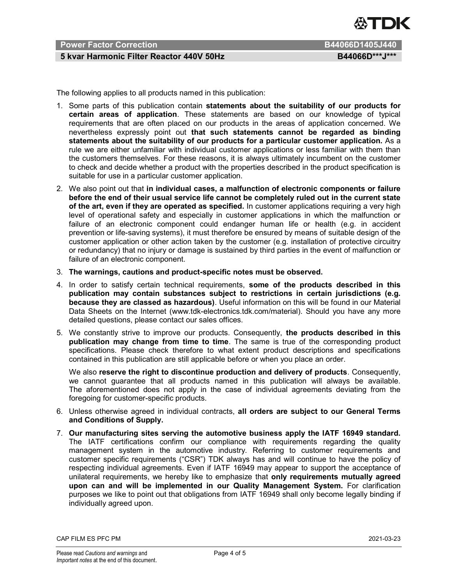

### Power Factor Correction **B44066D1405J440**

#### 5 kvar Harmonic Filter Reactor 440V 50Hz BA4066D\*\*\*J\*\*\*

The following applies to all products named in this publication:

- 1. Some parts of this publication contain statements about the suitability of our products for certain areas of application. These statements are based on our knowledge of typical requirements that are often placed on our products in the areas of application concerned. We nevertheless expressly point out that such statements cannot be regarded as binding statements about the suitability of our products for a particular customer application. As a rule we are either unfamiliar with individual customer applications or less familiar with them than the customers themselves. For these reasons, it is always ultimately incumbent on the customer to check and decide whether a product with the properties described in the product specification is suitable for use in a particular customer application.
- 2. We also point out that in individual cases, a malfunction of electronic components or failure before the end of their usual service life cannot be completely ruled out in the current state of the art, even if they are operated as specified. In customer applications requiring a very high level of operational safety and especially in customer applications in which the malfunction or failure of an electronic component could endanger human life or health (e.g. in accident prevention or life-saving systems), it must therefore be ensured by means of suitable design of the customer application or other action taken by the customer (e.g. installation of protective circuitry or redundancy) that no injury or damage is sustained by third parties in the event of malfunction or failure of an electronic component.
- 3. The warnings, cautions and product-specific notes must be observed.
- 4. In order to satisfy certain technical requirements, some of the products described in this publication may contain substances subject to restrictions in certain jurisdictions (e.g. because they are classed as hazardous). Useful information on this will be found in our Material Data Sheets on the Internet (www.tdk-electronics.tdk.com/material). Should you have any more detailed questions, please contact our sales offices.
- 5. We constantly strive to improve our products. Consequently, the products described in this publication may change from time to time. The same is true of the corresponding product specifications. Please check therefore to what extent product descriptions and specifications contained in this publication are still applicable before or when you place an order.

We also reserve the right to discontinue production and delivery of products. Consequently, we cannot guarantee that all products named in this publication will always be available. The aforementioned does not apply in the case of individual agreements deviating from the foregoing for customer-specific products.

- 6. Unless otherwise agreed in individual contracts, all orders are subject to our General Terms and Conditions of Supply.
- 7. Our manufacturing sites serving the automotive business apply the IATF 16949 standard. The IATF certifications confirm our compliance with requirements regarding the quality management system in the automotive industry. Referring to customer requirements and customer specific requirements ("CSR") TDK always has and will continue to have the policy of respecting individual agreements. Even if IATF 16949 may appear to support the acceptance of unilateral requirements, we hereby like to emphasize that only requirements mutually agreed upon can and will be implemented in our Quality Management System. For clarification purposes we like to point out that obligations from IATF 16949 shall only become legally binding if individually agreed upon.